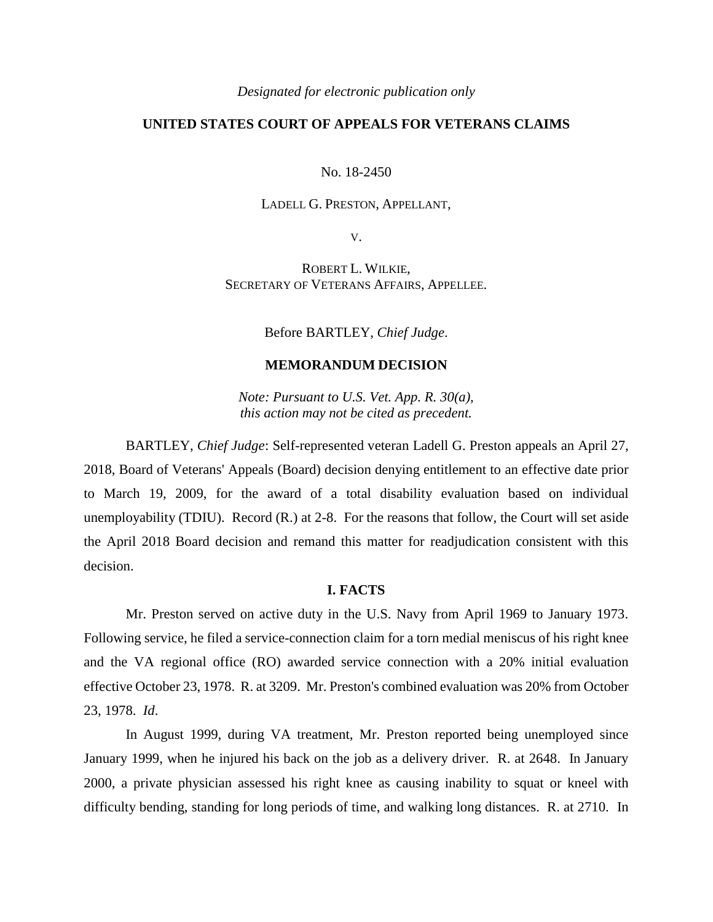*Designated for electronic publication only*

# **UNITED STATES COURT OF APPEALS FOR VETERANS CLAIMS**

No. 18-2450

## LADELL G. PRESTON, APPELLANT,

V.

ROBERT L. WILKIE, SECRETARY OF VETERANS AFFAIRS, APPELLEE.

Before BARTLEY, *Chief Judge*.

## **MEMORANDUM DECISION**

*Note: Pursuant to U.S. Vet. App. R. 30(a), this action may not be cited as precedent.*

BARTLEY, *Chief Judge*: Self-represented veteran Ladell G. Preston appeals an April 27, 2018, Board of Veterans' Appeals (Board) decision denying entitlement to an effective date prior to March 19, 2009, for the award of a total disability evaluation based on individual unemployability (TDIU). Record (R.) at 2-8. For the reasons that follow, the Court will set aside the April 2018 Board decision and remand this matter for readjudication consistent with this decision.

## **I. FACTS**

Mr. Preston served on active duty in the U.S. Navy from April 1969 to January 1973. Following service, he filed a service-connection claim for a torn medial meniscus of his right knee and the VA regional office (RO) awarded service connection with a 20% initial evaluation effective October 23, 1978. R. at 3209. Mr. Preston's combined evaluation was 20% from October 23, 1978. *Id*.

In August 1999, during VA treatment, Mr. Preston reported being unemployed since January 1999, when he injured his back on the job as a delivery driver. R. at 2648. In January 2000, a private physician assessed his right knee as causing inability to squat or kneel with difficulty bending, standing for long periods of time, and walking long distances. R. at 2710. In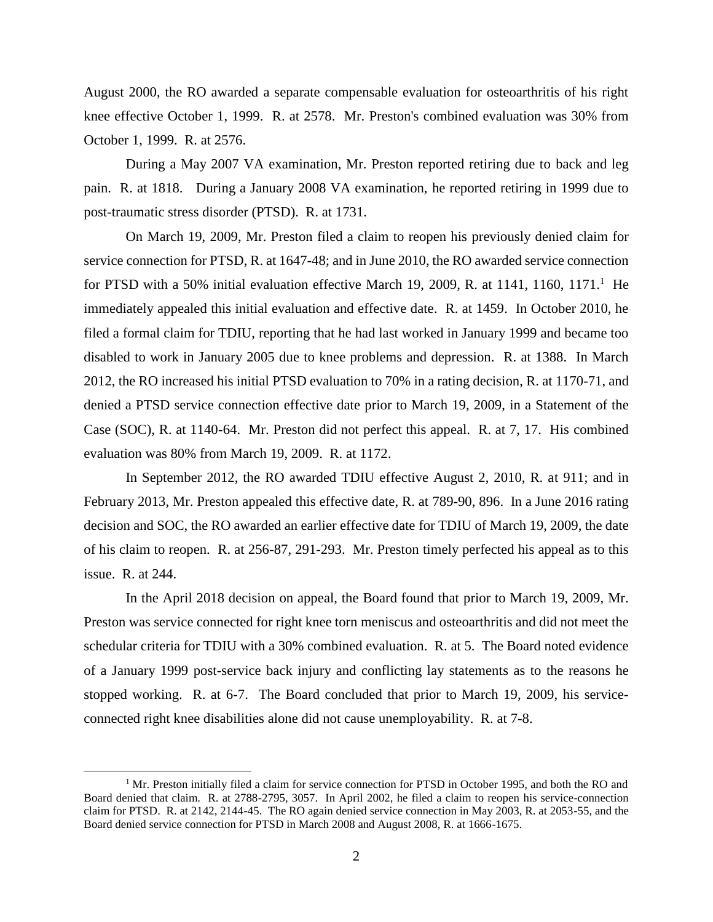August 2000, the RO awarded a separate compensable evaluation for osteoarthritis of his right knee effective October 1, 1999. R. at 2578. Mr. Preston's combined evaluation was 30% from October 1, 1999. R. at 2576.

During a May 2007 VA examination, Mr. Preston reported retiring due to back and leg pain. R. at 1818. During a January 2008 VA examination, he reported retiring in 1999 due to post-traumatic stress disorder (PTSD). R. at 1731.

On March 19, 2009, Mr. Preston filed a claim to reopen his previously denied claim for service connection for PTSD, R. at 1647-48; and in June 2010, the RO awarded service connection for PTSD with a 50% initial evaluation effective March 19, 2009, R. at 1141, 1160, 1171.<sup>1</sup> He immediately appealed this initial evaluation and effective date. R. at 1459. In October 2010, he filed a formal claim for TDIU, reporting that he had last worked in January 1999 and became too disabled to work in January 2005 due to knee problems and depression. R. at 1388. In March 2012, the RO increased his initial PTSD evaluation to 70% in a rating decision, R. at 1170-71, and denied a PTSD service connection effective date prior to March 19, 2009, in a Statement of the Case (SOC), R. at 1140-64. Mr. Preston did not perfect this appeal. R. at 7, 17. His combined evaluation was 80% from March 19, 2009. R. at 1172.

In September 2012, the RO awarded TDIU effective August 2, 2010, R. at 911; and in February 2013, Mr. Preston appealed this effective date, R. at 789-90, 896. In a June 2016 rating decision and SOC, the RO awarded an earlier effective date for TDIU of March 19, 2009, the date of his claim to reopen. R. at 256-87, 291-293. Mr. Preston timely perfected his appeal as to this issue. R. at 244.

In the April 2018 decision on appeal, the Board found that prior to March 19, 2009, Mr. Preston was service connected for right knee torn meniscus and osteoarthritis and did not meet the schedular criteria for TDIU with a 30% combined evaluation. R. at 5. The Board noted evidence of a January 1999 post-service back injury and conflicting lay statements as to the reasons he stopped working. R. at 6-7. The Board concluded that prior to March 19, 2009, his serviceconnected right knee disabilities alone did not cause unemployability. R. at 7-8.

 $\overline{a}$ 

 $1$  Mr. Preston initially filed a claim for service connection for PTSD in October 1995, and both the RO and Board denied that claim. R. at 2788-2795, 3057. In April 2002, he filed a claim to reopen his service-connection claim for PTSD. R. at 2142, 2144-45. The RO again denied service connection in May 2003, R. at 2053-55, and the Board denied service connection for PTSD in March 2008 and August 2008, R. at 1666-1675.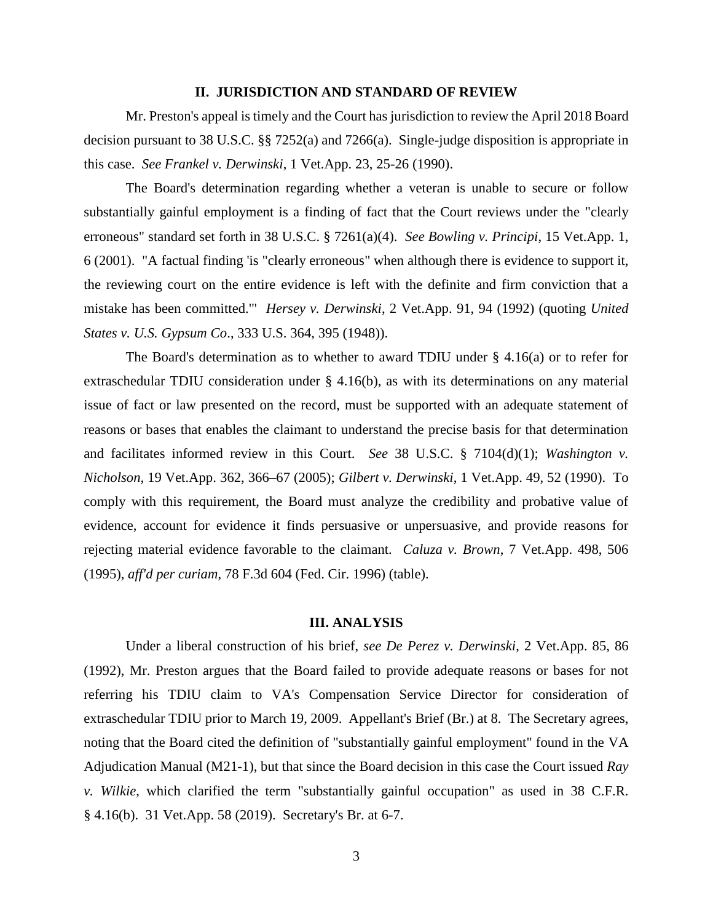### **II. JURISDICTION AND STANDARD OF REVIEW**

Mr. Preston's appeal is timely and the Court has jurisdiction to review the April 2018 Board decision pursuant to 38 U.S.C. §§ 7252(a) and 7266(a). Single-judge disposition is appropriate in this case. *See Frankel v. Derwinski*, 1 Vet.App. 23, 25-26 (1990).

The Board's determination regarding whether a veteran is unable to secure or follow substantially gainful employment is a finding of fact that the Court reviews under the "clearly erroneous" standard set forth in 38 U.S.C. § 7261(a)(4). *See Bowling v. Principi*, 15 Vet.App. 1, 6 (2001). "A factual finding 'is "clearly erroneous" when although there is evidence to support it, the reviewing court on the entire evidence is left with the definite and firm conviction that a mistake has been committed.'" *Hersey v. Derwinski*, 2 Vet.App. 91, 94 (1992) (quoting *United States v. U.S. Gypsum Co*., 333 U.S. 364, 395 (1948)).

The Board's determination as to whether to award TDIU under  $\S$  4.16(a) or to refer for extraschedular TDIU consideration under § 4.16(b), as with its determinations on any material issue of fact or law presented on the record, must be supported with an adequate statement of reasons or bases that enables the claimant to understand the precise basis for that determination and facilitates informed review in this Court. *See* 38 U.S.C. § 7104(d)(1); *Washington v. Nicholson*, 19 Vet.App. 362, 366–67 (2005); *Gilbert v. Derwinski*, 1 Vet.App. 49, 52 (1990). To comply with this requirement, the Board must analyze the credibility and probative value of evidence, account for evidence it finds persuasive or unpersuasive, and provide reasons for rejecting material evidence favorable to the claimant. *Caluza v. Brown*, 7 Vet.App. 498, 506 (1995), *aff'd per curiam*, 78 F.3d 604 (Fed. Cir. 1996) (table).

#### **III. ANALYSIS**

Under a liberal construction of his brief, *see De Perez v. Derwinski*, 2 Vet.App. 85, 86 (1992), Mr. Preston argues that the Board failed to provide adequate reasons or bases for not referring his TDIU claim to VA's Compensation Service Director for consideration of extraschedular TDIU prior to March 19, 2009. Appellant's Brief (Br.) at 8. The Secretary agrees, noting that the Board cited the definition of "substantially gainful employment" found in the VA Adjudication Manual (M21-1), but that since the Board decision in this case the Court issued *Ray v. Wilkie*, which clarified the term "substantially gainful occupation" as used in 38 C.F.R. § 4.16(b). 31 Vet.App. 58 (2019). Secretary's Br. at 6-7.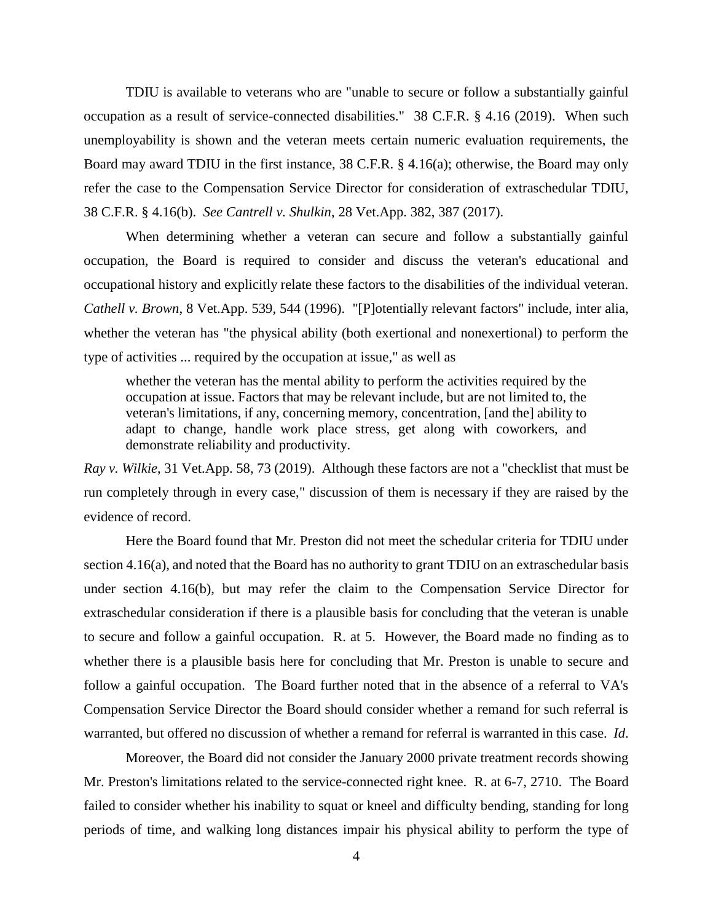TDIU is available to veterans who are "unable to secure or follow a substantially gainful occupation as a result of service-connected disabilities." 38 C.F.R. § 4.16 (2019). When such unemployability is shown and the veteran meets certain numeric evaluation requirements, the Board may award TDIU in the first instance, 38 C.F.R. § 4.16(a); otherwise, the Board may only refer the case to the Compensation Service Director for consideration of extraschedular TDIU, 38 C.F.R. § 4.16(b). *See Cantrell v. Shulkin*, 28 Vet.App. 382, 387 (2017).

When determining whether a veteran can secure and follow a substantially gainful occupation, the Board is required to consider and discuss the veteran's educational and occupational history and explicitly relate these factors to the disabilities of the individual veteran. *Cathell v. Brown*, 8 Vet.App. 539, 544 (1996). "[P]otentially relevant factors" include, inter alia, whether the veteran has "the physical ability (both exertional and nonexertional) to perform the type of activities ... required by the occupation at issue," as well as

whether the veteran has the mental ability to perform the activities required by the occupation at issue. Factors that may be relevant include, but are not limited to, the veteran's limitations, if any, concerning memory, concentration, [and the] ability to adapt to change, handle work place stress, get along with coworkers, and demonstrate reliability and productivity.

*Ray v. Wilkie*, 31 Vet.App. 58, 73 (2019). Although these factors are not a "checklist that must be run completely through in every case," discussion of them is necessary if they are raised by the evidence of record.

Here the Board found that Mr. Preston did not meet the schedular criteria for TDIU under section 4.16(a), and noted that the Board has no authority to grant TDIU on an extraschedular basis under section 4.16(b), but may refer the claim to the Compensation Service Director for extraschedular consideration if there is a plausible basis for concluding that the veteran is unable to secure and follow a gainful occupation. R. at 5. However, the Board made no finding as to whether there is a plausible basis here for concluding that Mr. Preston is unable to secure and follow a gainful occupation. The Board further noted that in the absence of a referral to VA's Compensation Service Director the Board should consider whether a remand for such referral is warranted, but offered no discussion of whether a remand for referral is warranted in this case. *Id*.

Moreover, the Board did not consider the January 2000 private treatment records showing Mr. Preston's limitations related to the service-connected right knee. R. at 6-7, 2710. The Board failed to consider whether his inability to squat or kneel and difficulty bending, standing for long periods of time, and walking long distances impair his physical ability to perform the type of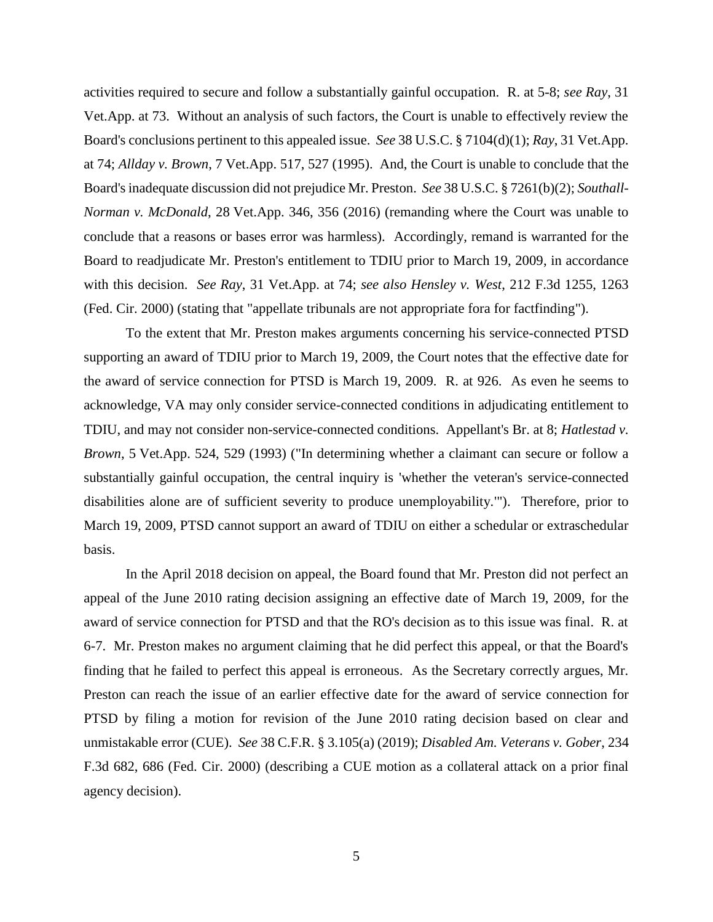activities required to secure and follow a substantially gainful occupation. R. at 5-8; *see Ray*, 31 Vet.App. at 73. Without an analysis of such factors, the Court is unable to effectively review the Board's conclusions pertinent to this appealed issue. *See* 38 U.S.C. § 7104(d)(1); *Ray*, 31 Vet.App. at 74; *Allday v. Brown*, 7 Vet.App. 517, 527 (1995). And, the Court is unable to conclude that the Board's inadequate discussion did not prejudice Mr. Preston. *See* 38 U.S.C. § 7261(b)(2); *Southall-Norman v. McDonald*, 28 Vet.App. 346, 356 (2016) (remanding where the Court was unable to conclude that a reasons or bases error was harmless). Accordingly, remand is warranted for the Board to readjudicate Mr. Preston's entitlement to TDIU prior to March 19, 2009, in accordance with this decision. *See Ray*, 31 Vet.App. at 74; *see also Hensley v. West*, 212 F.3d 1255, 1263 (Fed. Cir. 2000) (stating that "appellate tribunals are not appropriate fora for factfinding").

To the extent that Mr. Preston makes arguments concerning his service-connected PTSD supporting an award of TDIU prior to March 19, 2009, the Court notes that the effective date for the award of service connection for PTSD is March 19, 2009. R. at 926. As even he seems to acknowledge, VA may only consider service-connected conditions in adjudicating entitlement to TDIU, and may not consider non-service-connected conditions. Appellant's Br. at 8; *Hatlestad v. Brown*, 5 Vet.App. 524, 529 (1993) ("In determining whether a claimant can secure or follow a substantially gainful occupation, the central inquiry is 'whether the veteran's service-connected disabilities alone are of sufficient severity to produce unemployability.'"). Therefore, prior to March 19, 2009, PTSD cannot support an award of TDIU on either a schedular or extraschedular basis.

In the April 2018 decision on appeal, the Board found that Mr. Preston did not perfect an appeal of the June 2010 rating decision assigning an effective date of March 19, 2009, for the award of service connection for PTSD and that the RO's decision as to this issue was final. R. at 6-7. Mr. Preston makes no argument claiming that he did perfect this appeal, or that the Board's finding that he failed to perfect this appeal is erroneous. As the Secretary correctly argues, Mr. Preston can reach the issue of an earlier effective date for the award of service connection for PTSD by filing a motion for revision of the June 2010 rating decision based on clear and unmistakable error (CUE). *See* 38 C.F.R. § 3.105(a) (2019); *Disabled Am. Veterans v. Gober*, 234 F.3d 682, 686 (Fed. Cir. 2000) (describing a CUE motion as a collateral attack on a prior final agency decision).